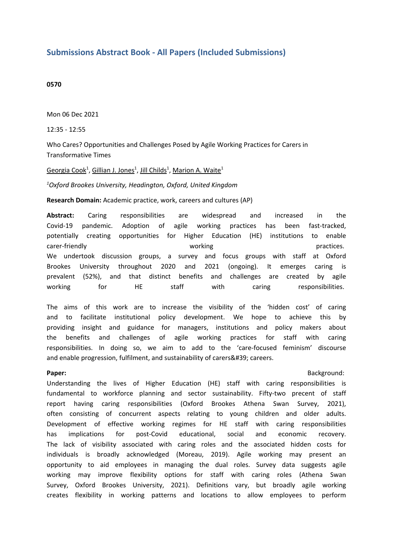# **Submissions Abstract Book - All Papers (Included Submissions)**

#### **0570**

Mon 06 Dec 2021

12:35 - 12:55

Who Cares? Opportunities and Challenges Posed by Agile Working Practices for Carers in Transformative Times

## Georgia Cook<sup>1</sup>, Gillian J. Jones<sup>1</sup>, Jill Childs<sup>1</sup>, Marion A. Waite<sup>1</sup>

## *1 Oxford Brookes University, Headington, Oxford, United Kingdom*

**Research Domain:** Academic practice, work, careers and cultures (AP)

**Abstract:** Caring responsibilities are widespread and increased in the Covid-19 pandemic. Adoption of agile working practices has been fast-tracked, potentially creating opportunities for Higher Education (HE) institutions to enable carer-friendly working practices. We undertook discussion groups, <sup>a</sup> survey and focus groups with staff at Oxford Brookes University throughout 2020 and 2021 (ongoing). It emerges caring is prevalent (52%), and that distinct benefits and challenges are created by agile working for HE staff with caring responsibilities.

The aims of this work are to increase the visibility of the 'hidden cost' of caring and to facilitate institutional policy development. We hope to achieve this by providing insight and guidance for managers, institutions and policy makers about the benefits and challenges of agile working practices for staff with caring responsibilities. In doing so, we aim to add to the 'care-focused feminism' discourse and enable progression, fulfilment, and sustainability of carers' careers.

# **Paper:** Background: **Background: Background: Background: Background: Background: Background: Background: Background: Background: Background: Background: Background: Background: Background: Back**

Understanding the lives of Higher Education (HE) staff with caring responsibilities is fundamental to workforce planning and sector sustainability. Fifty-two precent of staff report having caring responsibilities (Oxford Brookes Athena Swan Survey, 2021), often consisting of concurrent aspects relating to young children and older adults. Development of effective working regimes for HE staff with caring responsibilities has implications for post-Covid educational, social and economic recovery. The lack of visibility associated with caring roles and the associated hidden costs for individuals is broadly acknowledged (Moreau, 2019). Agile working may present an opportunity to aid employees in managing the dual roles. Survey data suggests agile working may improve flexibility options for staff with caring roles (Athena Swan Survey, Oxford Brookes University, 2021). Definitions vary, but broadly agile working creates flexibility in working patterns and locations to allow employees to perform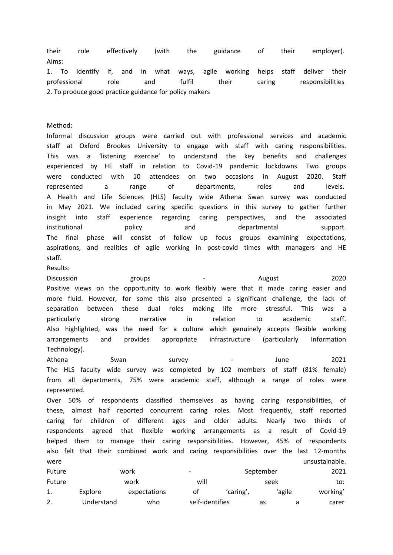their role effectively (with the guidance of their employer). Aims:

1. To identify if, and in what ways, agile working helps staff deliver their professional role and fulfil their caring responsibilities 2. To produce good practice guidance for policy makers

Method:

Informal discussion groups were carried out with professional services and academic staff at Oxford Brookes University to engage with staff with caring responsibilities. This was <sup>a</sup> 'listening exercise' to understand the key benefits and challenges experienced by HE staff in relation to Covid-19 pandemic lockdowns. Two groups were conducted with 10 attendees on two occasions in August 2020. Staff represented <sup>a</sup> range of departments, roles and levels. A Health and Life Sciences (HLS) faculty wide Athena Swan survey was conducted in May 2021. We included caring specific questions in this survey to gather further insight into staff experience regarding caring perspectives, and the associated institutional policy and departmental support. The final phase will consist of follow up focus groups examining expectations, aspirations, and realities of agile working in post-covid times with managers and HE staff.

Results:

Discussion groups - August 2020 Positive views on the opportunity to work flexibly were that it made caring easier and more fluid. However, for some this also presented <sup>a</sup> significant challenge, the lack of separation between these dual roles making life more stressful. This was <sup>a</sup> particularly strong narrative in relation to academic staff. Also highlighted, was the need for <sup>a</sup> culture which genuinely accepts flexible working arrangements and provides appropriate infrastructure (particularly Information Technology).

Athena Swan survey - June 2021 The HLS faculty wide survey was completed by 102 members of staff (81% female) from all departments, 75% were academic staff, although <sup>a</sup> range of roles were represented.

Over 50% of respondents classified themselves as having caring responsibilities, of these, almost half reported concurrent caring roles. Most frequently, staff reported caring for children of different ages and older adults. Nearly two thirds of respondents agreed that flexible working arrangements as <sup>a</sup> result of Covid-19 helped them to manage their caring responsibilities. However, 45% of respondents also felt that their combined work and caring responsibilities over the last 12-months were unsustainable.

| Future | work<br>work |              | $\overline{\phantom{0}}$ |           | September |        | 2021     |
|--------|--------------|--------------|--------------------------|-----------|-----------|--------|----------|
| Future |              |              | will                     | seek      |           |        | to:      |
|        | Explore      | expectations | οt                       | 'caring', |           | 'agile | working' |
|        | Understand   | who          | self-identifies          |           | as        |        | carer    |